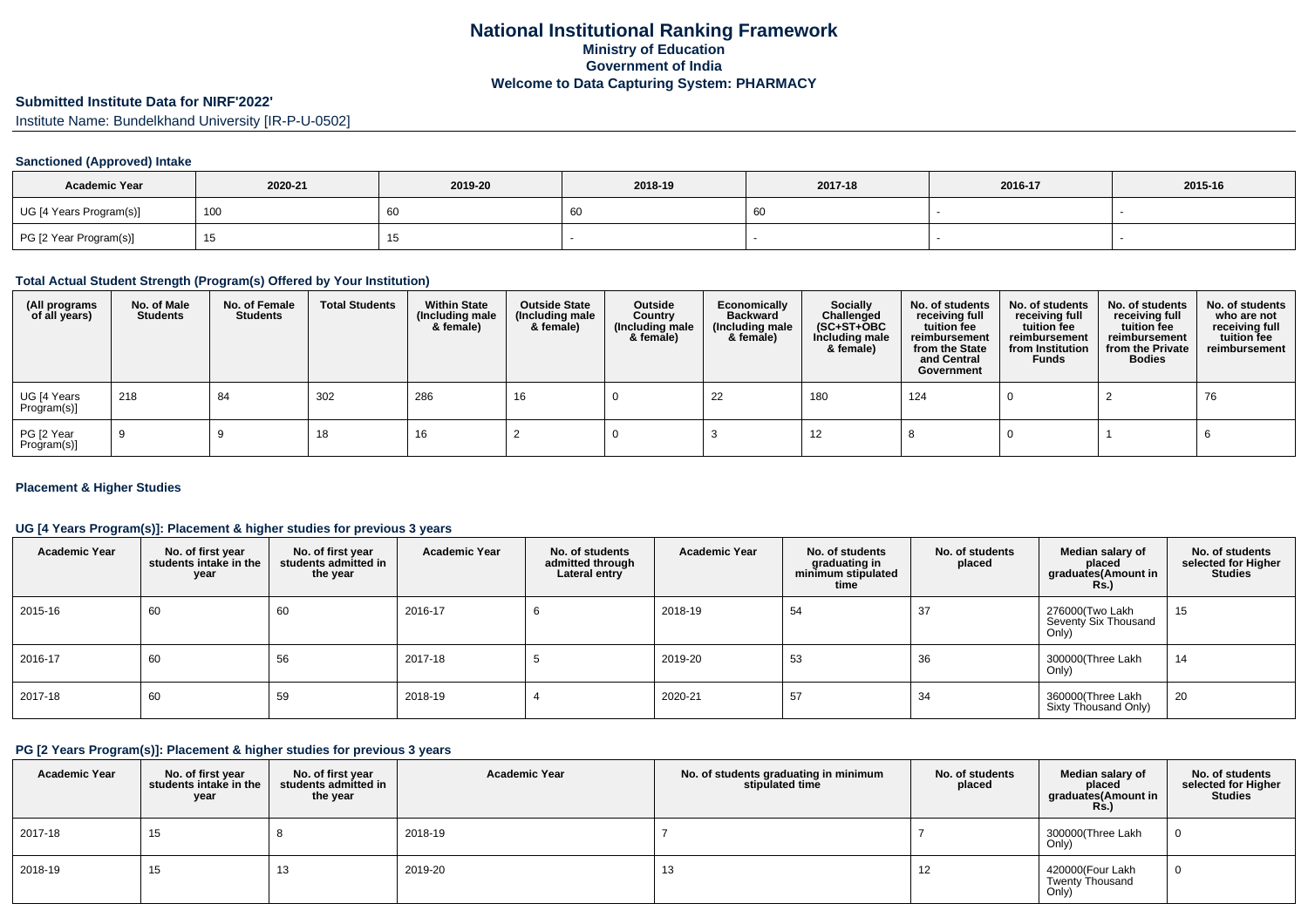## **Submitted Institute Data for NIRF'2022'**

Institute Name: Bundelkhand University [IR-P-U-0502]

### **Sanctioned (Approved) Intake**

| <b>Academic Year</b>    | 2020-21 | 2019-20 | 2018-19 | 2017-18 | 2016-17 | 2015-16 |
|-------------------------|---------|---------|---------|---------|---------|---------|
| UG [4 Years Program(s)] | 100     | 60      | 60      |         |         |         |
| PG [2 Year Program(s)]  |         |         |         |         |         |         |

#### **Total Actual Student Strength (Program(s) Offered by Your Institution)**

| (All programs<br>of all years) | No. of Male<br><b>Students</b> | No. of Female<br>Students | <b>Total Students</b> | <b>Within State</b><br>(Including male<br>& female) | <b>Outside State</b><br>(Including male<br>& female) | Outside<br>Country<br>(Including male<br>& female) | Economically<br><b>Backward</b><br>(Including male<br>& female) | <b>Socially</b><br>Challenged<br>$(SC+ST+OBC)$<br>Including male<br>& female) | No. of students<br>receiving full<br>tuition fee<br>reimbursement<br>from the State<br>and Central<br>Government | No. of students<br>receiving full<br>tuition fee<br>reimbursement<br>from Institution<br><b>Funds</b> | No. of students<br>receiving full<br>tuition fee<br>reimbursement<br>from the Private<br><b>Bodies</b> | No. of students<br>who are not<br>receiving full<br>tuition fee<br>reimbursement |
|--------------------------------|--------------------------------|---------------------------|-----------------------|-----------------------------------------------------|------------------------------------------------------|----------------------------------------------------|-----------------------------------------------------------------|-------------------------------------------------------------------------------|------------------------------------------------------------------------------------------------------------------|-------------------------------------------------------------------------------------------------------|--------------------------------------------------------------------------------------------------------|----------------------------------------------------------------------------------|
| UG [4 Years<br>Program(s)]     | 218                            | 84                        | 302                   | 286                                                 | 16                                                   |                                                    | 22                                                              | 180                                                                           | 124                                                                                                              |                                                                                                       |                                                                                                        | 76                                                                               |
| PG [2 Year<br>Program(s)]      |                                |                           | 18                    | 16                                                  |                                                      |                                                    |                                                                 | 12                                                                            |                                                                                                                  |                                                                                                       |                                                                                                        |                                                                                  |

### **Placement & Higher Studies**

### **UG [4 Years Program(s)]: Placement & higher studies for previous 3 years**

| <b>Academic Year</b> | No. of first year<br>students intake in the<br>year | No. of first vear<br>students admitted in<br>the year | <b>Academic Year</b> | No. of students<br>admitted through<br>Lateral entry | <b>Academic Year</b> | No. of students<br>graduating in<br>minimum stipulated<br>time | No. of students<br>placed | Median salary of<br>placed<br>graduates(Amount in<br><b>Rs.</b> ) | No. of students<br>selected for Higher<br><b>Studies</b> |
|----------------------|-----------------------------------------------------|-------------------------------------------------------|----------------------|------------------------------------------------------|----------------------|----------------------------------------------------------------|---------------------------|-------------------------------------------------------------------|----------------------------------------------------------|
| 2015-16              | 60                                                  | 60                                                    | 2016-17              | b                                                    | 2018-19              | 54                                                             | 37                        | 276000(Two Lakh<br>Seventy Six Thousand<br>Only)                  | 15                                                       |
| 2016-17              | 60                                                  | 56                                                    | 2017-18              |                                                      | 2019-20              | 53                                                             | 36                        | 300000(Three Lakh<br>Only)                                        | 14                                                       |
| 2017-18              | 60                                                  | 59                                                    | 2018-19              |                                                      | 2020-21              | 57                                                             | 34                        | 360000(Three Lakh<br>Sixty Thousand Only)                         | 20                                                       |

#### **PG [2 Years Program(s)]: Placement & higher studies for previous 3 years**

| <b>Academic Year</b> | No. of first year<br>students intake in the<br>year | No. of first year<br>students admitted in<br>the year | <b>Academic Year</b> | No. of students graduating in minimum<br>stipulated time | No. of students<br>placed | Median salary of<br>placed<br>graduates(Amount in<br><b>Rs.)</b> | No. of students<br>selected for Higher<br><b>Studies</b> |
|----------------------|-----------------------------------------------------|-------------------------------------------------------|----------------------|----------------------------------------------------------|---------------------------|------------------------------------------------------------------|----------------------------------------------------------|
| 2017-18              | 15                                                  |                                                       | 2018-19              |                                                          |                           | 300000(Three Lakh<br>Only)                                       |                                                          |
| 2018-19              | 15                                                  | 13                                                    | 2019-20              | 13                                                       | 12                        | 420000(Four Lakh<br><b>Twenty Thousand</b><br>Only)              |                                                          |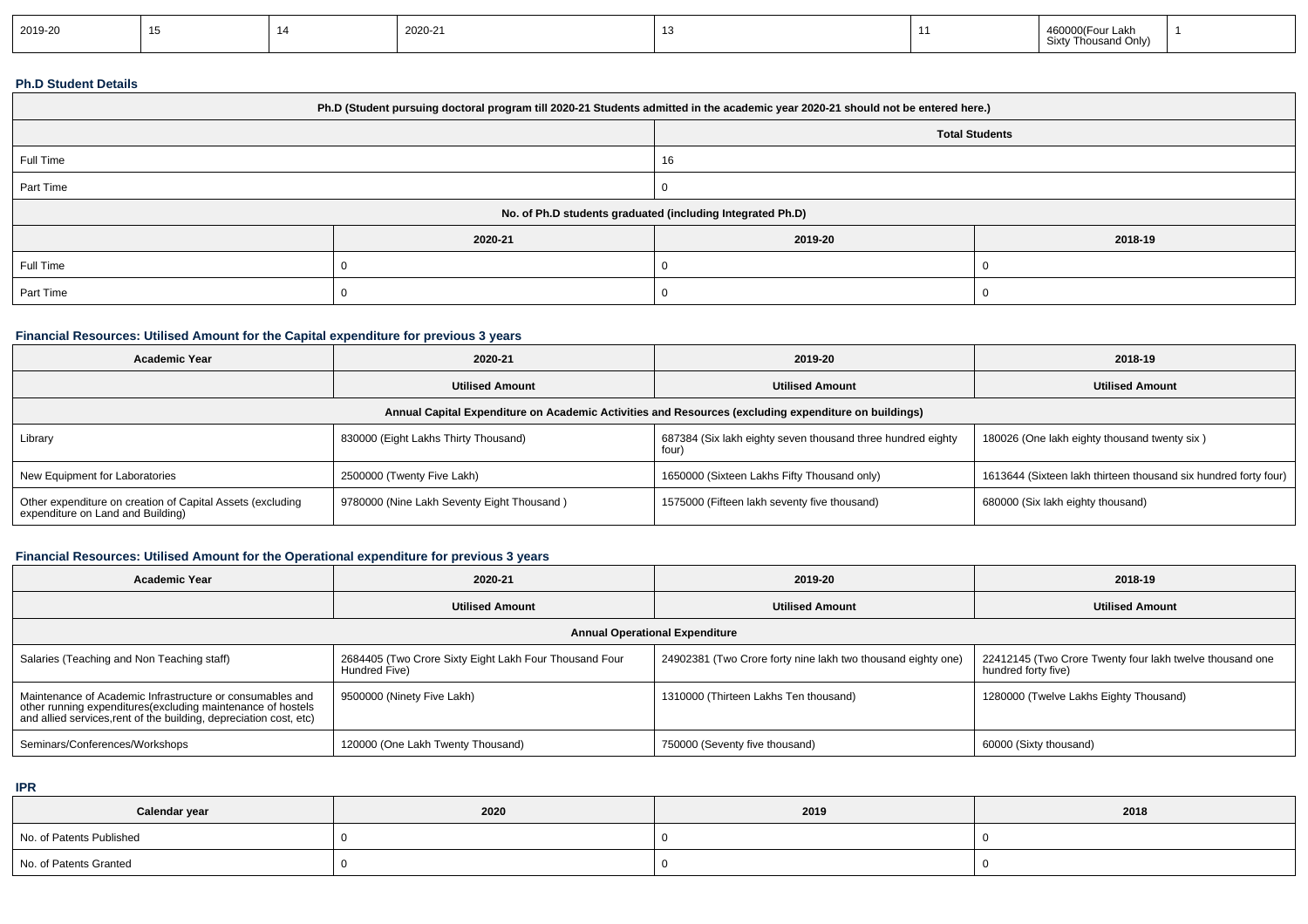| 2019-20 |  |  | 2020-21 |  |  | 460000(Four Lakh<br>Sixty Thousand Only)<br>. |  |
|---------|--|--|---------|--|--|-----------------------------------------------|--|
|---------|--|--|---------|--|--|-----------------------------------------------|--|

### **Ph.D Student Details**

| Ph.D (Student pursuing doctoral program till 2020-21 Students admitted in the academic year 2020-21 should not be entered here.) |         |         |                       |  |  |  |
|----------------------------------------------------------------------------------------------------------------------------------|---------|---------|-----------------------|--|--|--|
|                                                                                                                                  |         |         | <b>Total Students</b> |  |  |  |
| Full Time                                                                                                                        |         | 16      |                       |  |  |  |
| Part Time                                                                                                                        |         |         |                       |  |  |  |
| No. of Ph.D students graduated (including Integrated Ph.D)                                                                       |         |         |                       |  |  |  |
|                                                                                                                                  | 2020-21 | 2019-20 | 2018-19               |  |  |  |
| Full Time                                                                                                                        |         |         |                       |  |  |  |
| Part Time                                                                                                                        |         |         |                       |  |  |  |

## **Financial Resources: Utilised Amount for the Capital expenditure for previous 3 years**

| <b>Academic Year</b>                                                                                 | 2020-21                                    | 2019-20                                                              | 2018-19                                                         |  |  |  |  |
|------------------------------------------------------------------------------------------------------|--------------------------------------------|----------------------------------------------------------------------|-----------------------------------------------------------------|--|--|--|--|
|                                                                                                      | <b>Utilised Amount</b>                     | <b>Utilised Amount</b>                                               | <b>Utilised Amount</b>                                          |  |  |  |  |
| Annual Capital Expenditure on Academic Activities and Resources (excluding expenditure on buildings) |                                            |                                                                      |                                                                 |  |  |  |  |
| Library                                                                                              | 830000 (Eight Lakhs Thirty Thousand)       | 687384 (Six lakh eighty seven thousand three hundred eighty<br>four) | 180026 (One lakh eighty thousand twenty six)                    |  |  |  |  |
| New Equipment for Laboratories                                                                       | 2500000 (Twenty Five Lakh)                 | 1650000 (Sixteen Lakhs Fifty Thousand only)                          | 1613644 (Sixteen lakh thirteen thousand six hundred forty four) |  |  |  |  |
| Other expenditure on creation of Capital Assets (excluding<br>expenditure on Land and Building)      | 9780000 (Nine Lakh Seventy Eight Thousand) | 1575000 (Fifteen lakh seventy five thousand)                         | 680000 (Six lakh eighty thousand)                               |  |  |  |  |

## **Financial Resources: Utilised Amount for the Operational expenditure for previous 3 years**

| <b>Academic Year</b>                                                                                                                                                                           | 2020-21                                                                 | 2019-20                                                      | 2018-19                                                                         |  |  |  |  |
|------------------------------------------------------------------------------------------------------------------------------------------------------------------------------------------------|-------------------------------------------------------------------------|--------------------------------------------------------------|---------------------------------------------------------------------------------|--|--|--|--|
|                                                                                                                                                                                                | <b>Utilised Amount</b>                                                  | <b>Utilised Amount</b>                                       | <b>Utilised Amount</b>                                                          |  |  |  |  |
| <b>Annual Operational Expenditure</b>                                                                                                                                                          |                                                                         |                                                              |                                                                                 |  |  |  |  |
| Salaries (Teaching and Non Teaching staff)                                                                                                                                                     | 2684405 (Two Crore Sixty Eight Lakh Four Thousand Four<br>Hundred Five) | 24902381 (Two Crore forty nine lakh two thousand eighty one) | 22412145 (Two Crore Twenty four lakh twelve thousand one<br>hundred forty five) |  |  |  |  |
| Maintenance of Academic Infrastructure or consumables and<br>other running expenditures(excluding maintenance of hostels<br>and allied services, rent of the building, depreciation cost, etc) | 9500000 (Ninety Five Lakh)                                              | 1310000 (Thirteen Lakhs Ten thousand)                        | 1280000 (Twelve Lakhs Eighty Thousand)                                          |  |  |  |  |
| Seminars/Conferences/Workshops                                                                                                                                                                 | 120000 (One Lakh Twenty Thousand)                                       | 750000 (Seventy five thousand)                               | 60000 (Sixty thousand)                                                          |  |  |  |  |

**IPR**

| Calendar year            | 2020 | 2019 | 2018 |
|--------------------------|------|------|------|
| No. of Patents Published |      |      |      |
| No. of Patents Granted   |      |      |      |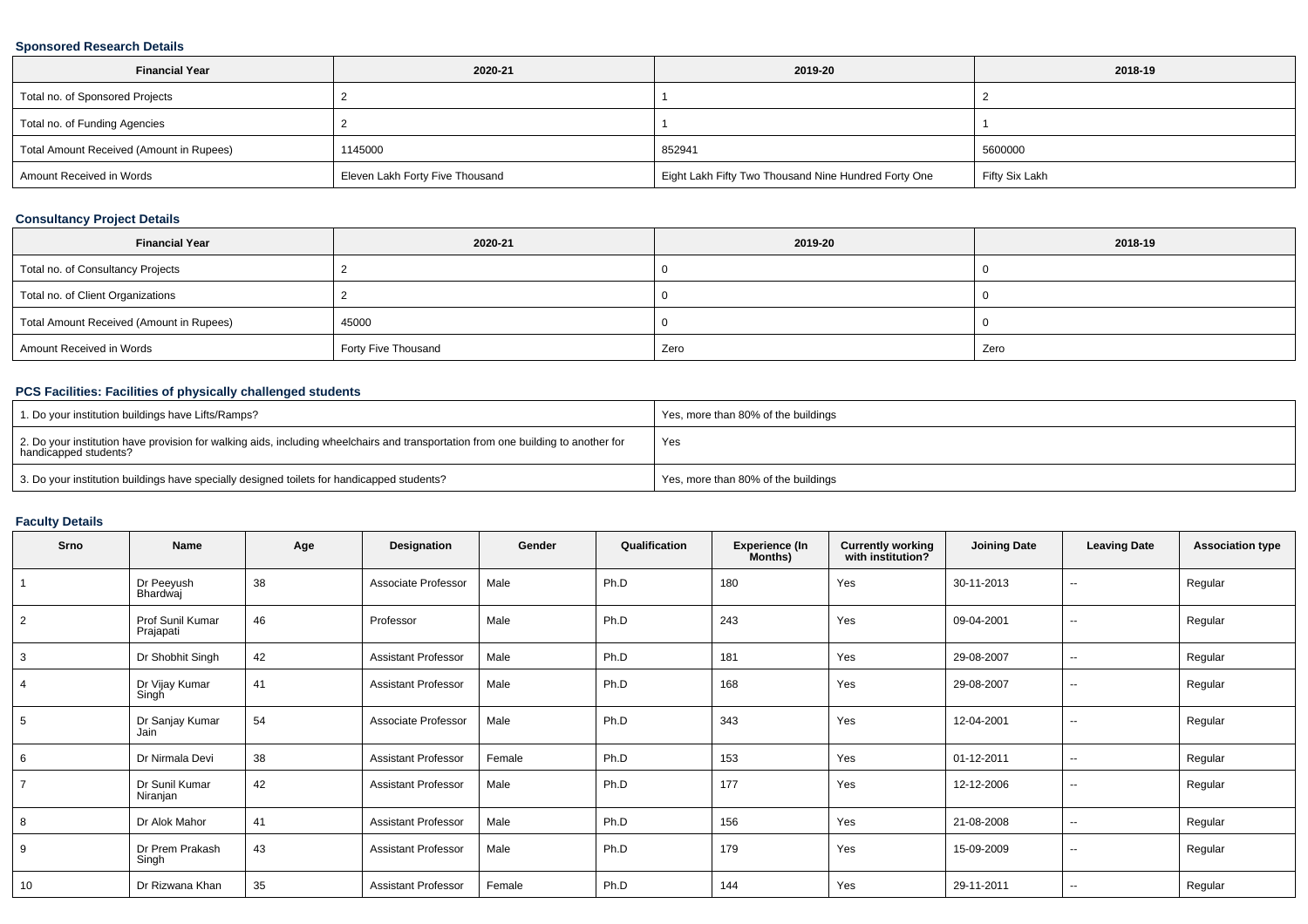### **Sponsored Research Details**

| <b>Financial Year</b>                    | 2020-21                         | 2019-20                                              | 2018-19        |
|------------------------------------------|---------------------------------|------------------------------------------------------|----------------|
| Total no. of Sponsored Projects          |                                 |                                                      |                |
| Total no. of Funding Agencies            |                                 |                                                      |                |
| Total Amount Received (Amount in Rupees) | 1145000                         | 852941                                               | 5600000        |
| Amount Received in Words                 | Eleven Lakh Forty Five Thousand | Eight Lakh Fifty Two Thousand Nine Hundred Forty One | Fifty Six Lakh |

### **Consultancy Project Details**

| <b>Financial Year</b>                    | 2020-21             | 2019-20 | 2018-19 |
|------------------------------------------|---------------------|---------|---------|
| Total no. of Consultancy Projects        |                     |         |         |
| Total no. of Client Organizations        |                     |         |         |
| Total Amount Received (Amount in Rupees) | 45000               |         |         |
| Amount Received in Words                 | Forty Five Thousand | Zero    | Zero    |

## **PCS Facilities: Facilities of physically challenged students**

| 1. Do your institution buildings have Lifts/Ramps?                                                                                                         | Yes, more than 80% of the buildings |
|------------------------------------------------------------------------------------------------------------------------------------------------------------|-------------------------------------|
| 2. Do your institution have provision for walking aids, including wheelchairs and transportation from one building to another for<br>handicapped students? | Yes                                 |
| 3. Do your institution buildings have specially designed toilets for handicapped students?                                                                 | Yes, more than 80% of the buildings |

# **Faculty Details**

| Srno           | Name                          | Age | Designation                | Gender | Qualification | <b>Experience (In</b><br>Months) | <b>Currently working</b><br>with institution? | <b>Joining Date</b> | <b>Leaving Date</b>      | <b>Association type</b> |
|----------------|-------------------------------|-----|----------------------------|--------|---------------|----------------------------------|-----------------------------------------------|---------------------|--------------------------|-------------------------|
|                | Dr Peeyush<br>Bhardwaj        | 38  | Associate Professor        | Male   | Ph.D          | 180                              | Yes                                           | 30-11-2013          | $\overline{\phantom{a}}$ | Regular                 |
| $\overline{2}$ | Prof Sunil Kumar<br>Prajapati | 46  | Professor                  | Male   | Ph.D          | 243                              | Yes                                           | 09-04-2001          | $\sim$                   | Regular                 |
| 3              | Dr Shobhit Singh              | 42  | <b>Assistant Professor</b> | Male   | Ph.D          | 181                              | Yes                                           | 29-08-2007          | $\sim$                   | Regular                 |
| $\overline{4}$ | Dr Vijay Kumar<br>Singh       | 41  | <b>Assistant Professor</b> | Male   | Ph.D          | 168                              | Yes                                           | 29-08-2007          | $\sim$                   | Regular                 |
| 5              | Dr Sanjay Kumar<br>Jain       | 54  | Associate Professor        | Male   | Ph.D          | 343                              | Yes                                           | 12-04-2001          | $- -$                    | Regular                 |
| 6              | Dr Nirmala Devi               | 38  | <b>Assistant Professor</b> | Female | Ph.D          | 153                              | Yes                                           | 01-12-2011          | $\overline{\phantom{a}}$ | Regular                 |
| $\overline{7}$ | Dr Sunil Kumar<br>Niranjan    | 42  | <b>Assistant Professor</b> | Male   | Ph.D          | 177                              | Yes                                           | 12-12-2006          | $\overline{\phantom{a}}$ | Regular                 |
| 8              | Dr Alok Mahor                 | 41  | <b>Assistant Professor</b> | Male   | Ph.D          | 156                              | Yes                                           | 21-08-2008          | $\sim$                   | Regular                 |
| 9              | Dr Prem Prakash<br>Singh      | 43  | <b>Assistant Professor</b> | Male   | Ph.D          | 179                              | Yes                                           | 15-09-2009          | $\sim$ $\sim$            | Regular                 |
| 10             | Dr Rizwana Khan               | 35  | <b>Assistant Professor</b> | Female | Ph.D          | 144                              | Yes                                           | 29-11-2011          | $\sim$ $\sim$            | Regular                 |